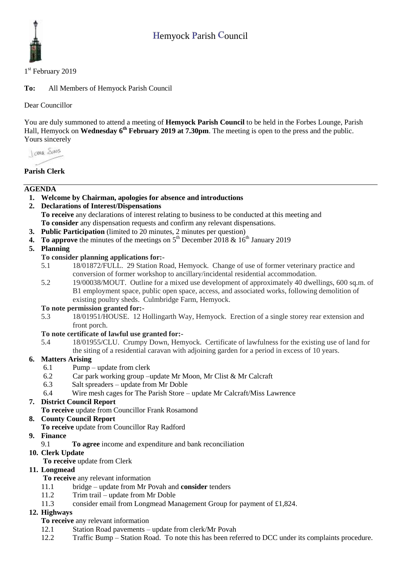

1<sup>st</sup> February 2019

**To:** All Members of Hemyock Parish Council

Dear Councillor

You are duly summoned to attend a meeting of **Hemyock Parish Council** to be held in the Forbes Lounge, Parish Hall, Hemyock on **Wednesday 6<sup>th</sup> February 2019 at 7.30pm**. The meeting is open to the press and the public. Yours sincerely

I awa Shans

# **Parish Clerk**

## **AGENDA**

- **1. Welcome by Chairman, apologies for absence and introductions**
- **2. Declarations of Interest/Dispensations To receive** any declarations of interest relating to business to be conducted at this meeting and **To consider** any dispensation requests and confirm any relevant dispensations.
- **3. Public Participation** (limited to 20 minutes, 2 minutes per question)
- **4.** To approve the minutes of the meetings on  $5<sup>th</sup>$  December 2018 &  $16<sup>th</sup>$  January 2019

**5. Planning**

## **To consider planning applications for:-**

- 5.1 18/01872/FULL. 29 Station Road, Hemyock. Change of use of former veterinary practice and conversion of former workshop to ancillary/incidental residential accommodation.
- 5.2 19/00038/MOUT. Outline for a mixed use development of approximately 40 dwellings, 600 sq.m. of B1 employment space, public open space, access, and associated works, following demolition of existing poultry sheds. Culmbridge Farm, Hemyock.

#### **To note permission granted for:-**

5.3 18/01951/HOUSE. 12 Hollingarth Way, Hemyock. Erection of a single storey rear extension and front porch.

## **To note certificate of lawful use granted for:-**

5.4 18/01955/CLU. Crumpy Down, Hemyock. Certificate of lawfulness for the existing use of land for the siting of a residential caravan with adjoining garden for a period in excess of 10 years.

## **6. Matters Arising**

- 6.1 Pump update from clerk
- 6.2 Car park working group –update Mr Moon, Mr Clist & Mr Calcraft
- 6.3 Salt spreaders update from Mr Doble
- 6.4 Wire mesh cages for The Parish Store update Mr Calcraft/Miss Lawrence

# **7. District Council Report**

**To receive** update from Councillor Frank Rosamond

# **8. County Council Report**

- **To receive** update from Councillor Ray Radford
- **9. Finance** 
	- 9.1 **To agree** income and expenditure and bank reconciliation
- **10. Clerk Update** 
	- **To receive** update from Clerk

## **11. Longmead**

- **To receive** any relevant information
- 11.1 bridge update from Mr Povah and **consider** tenders
- 11.2 Trim trail update from Mr Doble
- 11.3 consider email from Longmead Management Group for payment of £1,824.

## **12. Highways**

- **To receive** any relevant information
- 12.1 Station Road pavements update from clerk/Mr Povah
- 12.2 Traffic Bump Station Road. To note this has been referred to DCC under its complaints procedure.